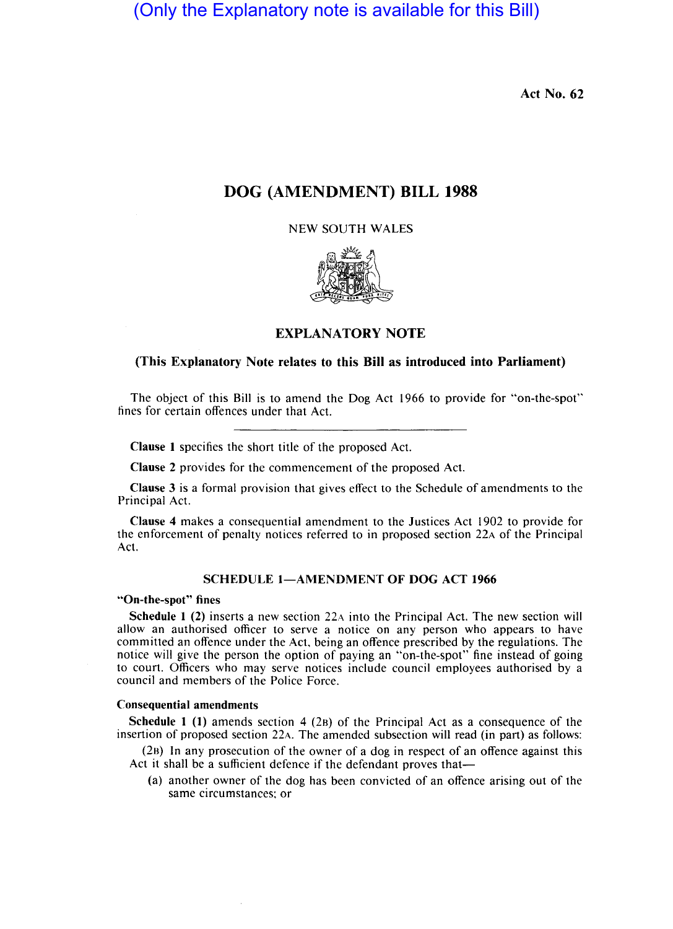(Only the Explanatory note is available for this Bill)

Act No. 62

# DOG (AMENDMENT) BILL 1988

NEW SOUTH WALES



## EXPLANATORY NOTE

## (This Explanatory Note relates to this Bill as introduced into Parliament)

The object of this Bill is to amend the Dog Act 1966 to provide for "on-the-spot" fines for certain offences under that Act.

Clause 1 specifies the short title of the proposed Act.

Clause 2 provides for the commencement of the proposed Act.

Clause 3 is a formal provision that gives effect to the Schedule of amendments to the Principal Act.

Clause 4 makes a consequential amendment to the Justices Act 1902 to provide for the enforcement of penalty notices referred to in proposed section 22A of the Principal Act.

### SCHEDULE 1-AMENDMENT OF DOG ACT 1966

### "On-the-spot" fines

Schedule 1 (2) inserts a new section 22A into the Principal Act. The new section will allow an authorised officer to serve a notice on any person who appears to have committed an offence under the Act, being an offence prescribed by the regulations. The notice will give the person the option of paying an "on-the-spot" fine instead of going to court. Officers who may serve notices include council employees authorised by a council and members of the Police Force.

#### Consequential amendments

Schedule 1 (1) amends section 4 (2B) of the Principal Act as a consequence of the insertion of proposed section 22A. The amended subsection will read (in part) as follows:

(28) In any prosecution of the owner of a dog in respect of an offence against this Act it shall be a sufficient defence if the defendant proves that-

(a) another owner of the dog has been convicted of an offence arising out of the same circumstances; or